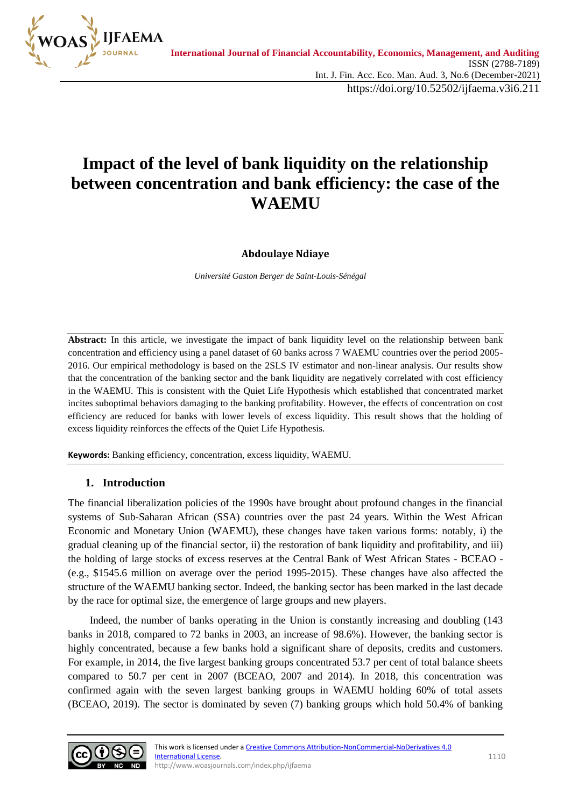

https://doi.org/10.52502/ijfaema.v3i6.211

# **Impact of the level of bank liquidity on the relationship between concentration and bank efficiency: the case of the WAEMU**

# **Abdoulaye Ndiaye**

*Université Gaston Berger de Saint-Louis-Sénégal*

**Abstract:** In this article, we investigate the impact of bank liquidity level on the relationship between bank concentration and efficiency using a panel dataset of 60 banks across 7 WAEMU countries over the period 2005- 2016. Our empirical methodology is based on the 2SLS IV estimator and non-linear analysis. Our results show that the concentration of the banking sector and the bank liquidity are negatively correlated with cost efficiency in the WAEMU. This is consistent with the Quiet Life Hypothesis which established that concentrated market incites suboptimal behaviors damaging to the banking profitability. However, the effects of concentration on cost efficiency are reduced for banks with lower levels of excess liquidity. This result shows that the holding of excess liquidity reinforces the effects of the Quiet Life Hypothesis.

**Keywords:** Banking efficiency, concentration, excess liquidity, WAEMU.

# **1. Introduction**

The financial liberalization policies of the 1990s have brought about profound changes in the financial systems of Sub-Saharan African (SSA) countries over the past 24 years. Within the West African Economic and Monetary Union (WAEMU), these changes have taken various forms: notably, i) the gradual cleaning up of the financial sector, ii) the restoration of bank liquidity and profitability, and iii) the holding of large stocks of excess reserves at the Central Bank of West African States - BCEAO - (e.g., \$1545.6 million on average over the period 1995-2015). These changes have also affected the structure of the WAEMU banking sector. Indeed, the banking sector has been marked in the last decade by the race for optimal size, the emergence of large groups and new players.

 Indeed, the number of banks operating in the Union is constantly increasing and doubling (143 banks in 2018, compared to 72 banks in 2003, an increase of 98.6%). However, the banking sector is highly concentrated, because a few banks hold a significant share of deposits, credits and customers. For example, in 2014, the five largest banking groups concentrated 53.7 per cent of total balance sheets compared to 50.7 per cent in 2007 (BCEAO, 2007 and 2014). In 2018, this concentration was confirmed again with the seven largest banking groups in WAEMU holding 60% of total assets (BCEAO, 2019). The sector is dominated by seven (7) banking groups which hold 50.4% of banking

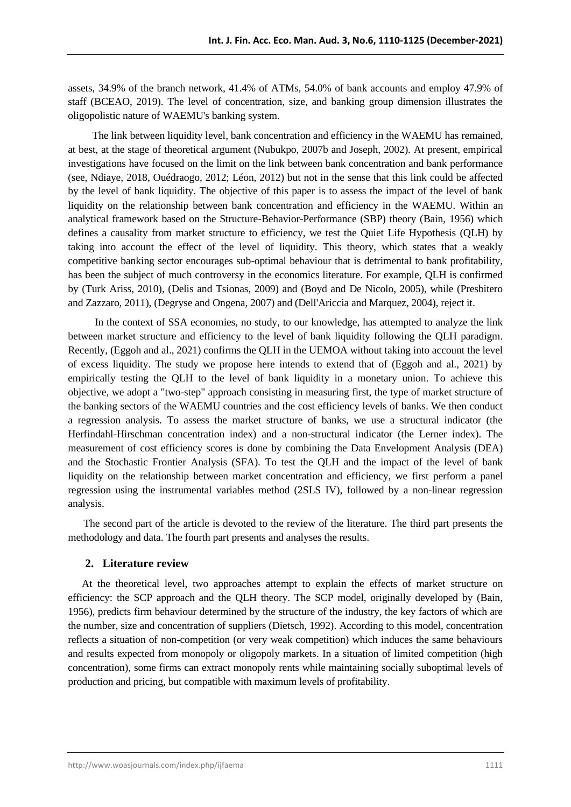assets, 34.9% of the branch network, 41.4% of ATMs, 54.0% of bank accounts and employ 47.9% of staff (BCEAO, 2019). The level of concentration, size, and banking group dimension illustrates the oligopolistic nature of WAEMU's banking system.

 The link between liquidity level, bank concentration and efficiency in the WAEMU has remained, at best, at the stage of theoretical argument (Nubukpo, 2007b and Joseph, 2002). At present, empirical investigations have focused on the limit on the link between bank concentration and bank performance (see, Ndiaye, 2018, Ouédraogo, 2012; Léon, 2012) but not in the sense that this link could be affected by the level of bank liquidity. The objective of this paper is to assess the impact of the level of bank liquidity on the relationship between bank concentration and efficiency in the WAEMU. Within an analytical framework based on the Structure-Behavior-Performance (SBP) theory (Bain, 1956) which defines a causality from market structure to efficiency, we test the Quiet Life Hypothesis (QLH) by taking into account the effect of the level of liquidity. This theory, which states that a weakly competitive banking sector encourages sub-optimal behaviour that is detrimental to bank profitability, has been the subject of much controversy in the economics literature. For example, QLH is confirmed by (Turk Ariss, 2010), (Delis and Tsionas, 2009) and (Boyd and De Nicolo, 2005), while (Presbitero and Zazzaro, 2011), (Degryse and Ongena, 2007) and (Dell'Ariccia and Marquez, 2004), reject it.

 In the context of SSA economies, no study, to our knowledge, has attempted to analyze the link between market structure and efficiency to the level of bank liquidity following the QLH paradigm. Recently, (Eggoh and al., 2021) confirms the QLH in the UEMOA without taking into account the level of excess liquidity. The study we propose here intends to extend that of (Eggoh and al., 2021) by empirically testing the QLH to the level of bank liquidity in a monetary union. To achieve this objective, we adopt a "two-step" approach consisting in measuring first, the type of market structure of the banking sectors of the WAEMU countries and the cost efficiency levels of banks. We then conduct a regression analysis. To assess the market structure of banks, we use a structural indicator (the Herfindahl-Hirschman concentration index) and a non-structural indicator (the Lerner index). The measurement of cost efficiency scores is done by combining the Data Envelopment Analysis (DEA) and the Stochastic Frontier Analysis (SFA). To test the QLH and the impact of the level of bank liquidity on the relationship between market concentration and efficiency, we first perform a panel regression using the instrumental variables method (2SLS IV), followed by a non-linear regression analysis.

 The second part of the article is devoted to the review of the literature. The third part presents the methodology and data. The fourth part presents and analyses the results.

#### **2. Literature review**

At the theoretical level, two approaches attempt to explain the effects of market structure on efficiency: the SCP approach and the QLH theory. The SCP model, originally developed by (Bain, 1956), predicts firm behaviour determined by the structure of the industry, the key factors of which are the number, size and concentration of suppliers (Dietsch, 1992). According to this model, concentration reflects a situation of non-competition (or very weak competition) which induces the same behaviours and results expected from monopoly or oligopoly markets. In a situation of limited competition (high concentration), some firms can extract monopoly rents while maintaining socially suboptimal levels of production and pricing, but compatible with maximum levels of profitability.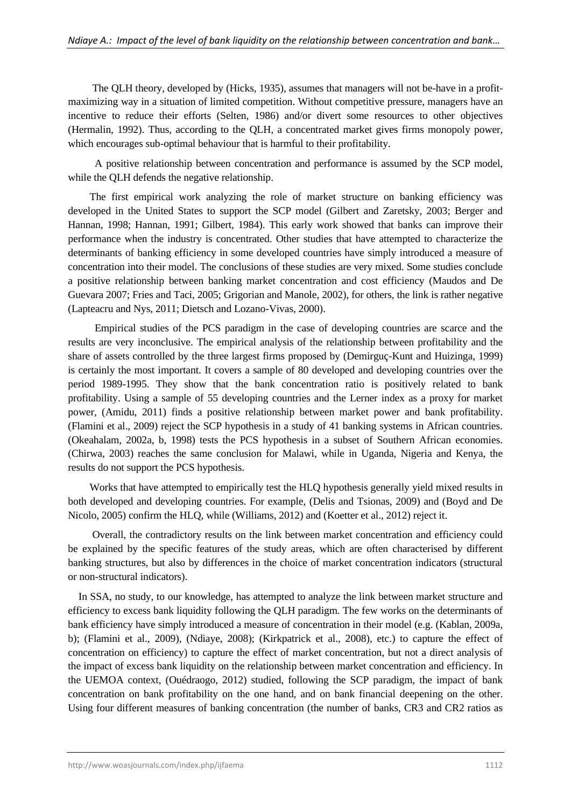The QLH theory, developed by (Hicks, 1935), assumes that managers will not be-have in a profitmaximizing way in a situation of limited competition. Without competitive pressure, managers have an incentive to reduce their efforts (Selten, 1986) and/or divert some resources to other objectives (Hermalin, 1992). Thus, according to the QLH, a concentrated market gives firms monopoly power, which encourages sub-optimal behaviour that is harmful to their profitability.

 A positive relationship between concentration and performance is assumed by the SCP model, while the QLH defends the negative relationship.

 The first empirical work analyzing the role of market structure on banking efficiency was developed in the United States to support the SCP model (Gilbert and Zaretsky, 2003; Berger and Hannan, 1998; Hannan, 1991; Gilbert, 1984). This early work showed that banks can improve their performance when the industry is concentrated. Other studies that have attempted to characterize the determinants of banking efficiency in some developed countries have simply introduced a measure of concentration into their model. The conclusions of these studies are very mixed. Some studies conclude a positive relationship between banking market concentration and cost efficiency (Maudos and De Guevara 2007; Fries and Taci, 2005; Grigorian and Manole, 2002), for others, the link is rather negative (Lapteacru and Nys, 2011; Dietsch and Lozano-Vivas, 2000).

 Empirical studies of the PCS paradigm in the case of developing countries are scarce and the results are very inconclusive. The empirical analysis of the relationship between profitability and the share of assets controlled by the three largest firms proposed by (Demirguç-Kunt and Huizinga, 1999) is certainly the most important. It covers a sample of 80 developed and developing countries over the period 1989-1995. They show that the bank concentration ratio is positively related to bank profitability. Using a sample of 55 developing countries and the Lerner index as a proxy for market power, (Amidu, 2011) finds a positive relationship between market power and bank profitability. (Flamini et al., 2009) reject the SCP hypothesis in a study of 41 banking systems in African countries. (Okeahalam, 2002a, b, 1998) tests the PCS hypothesis in a subset of Southern African economies. (Chirwa, 2003) reaches the same conclusion for Malawi, while in Uganda, Nigeria and Kenya, the results do not support the PCS hypothesis.

 Works that have attempted to empirically test the HLQ hypothesis generally yield mixed results in both developed and developing countries. For example, (Delis and Tsionas, 2009) and (Boyd and De Nicolo, 2005) confirm the HLQ, while (Williams, 2012) and (Koetter et al., 2012) reject it.

 Overall, the contradictory results on the link between market concentration and efficiency could be explained by the specific features of the study areas, which are often characterised by different banking structures, but also by differences in the choice of market concentration indicators (structural or non-structural indicators).

 In SSA, no study, to our knowledge, has attempted to analyze the link between market structure and efficiency to excess bank liquidity following the QLH paradigm. The few works on the determinants of bank efficiency have simply introduced a measure of concentration in their model (e.g. (Kablan, 2009a, b); (Flamini et al., 2009), (Ndiaye, 2008); (Kirkpatrick et al., 2008), etc.) to capture the effect of concentration on efficiency) to capture the effect of market concentration, but not a direct analysis of the impact of excess bank liquidity on the relationship between market concentration and efficiency. In the UEMOA context, (Ouédraogo, 2012) studied, following the SCP paradigm, the impact of bank concentration on bank profitability on the one hand, and on bank financial deepening on the other. Using four different measures of banking concentration (the number of banks, CR3 and CR2 ratios as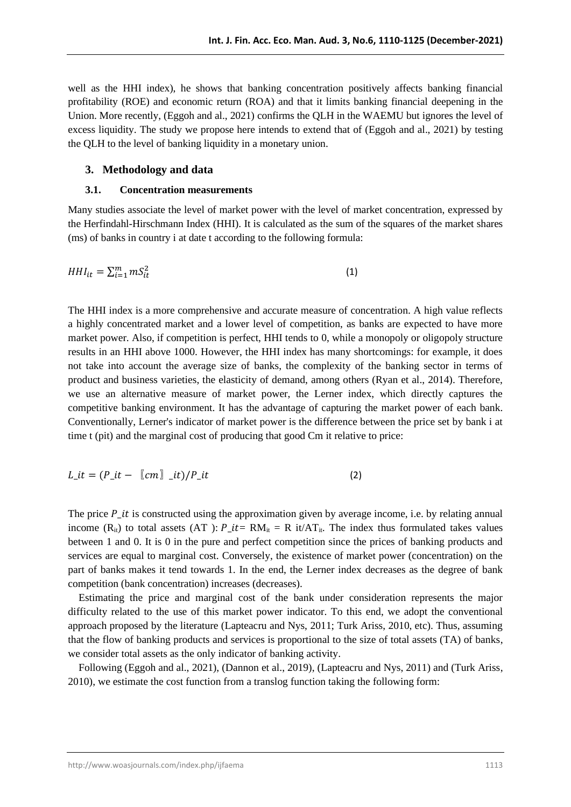well as the HHI index), he shows that banking concentration positively affects banking financial profitability (ROE) and economic return (ROA) and that it limits banking financial deepening in the Union. More recently, (Eggoh and al., 2021) confirms the QLH in the WAEMU but ignores the level of excess liquidity. The study we propose here intends to extend that of (Eggoh and al., 2021) by testing the QLH to the level of banking liquidity in a monetary union.

# **3. Methodology and data**

### **3.1. Concentration measurements**

Many studies associate the level of market power with the level of market concentration, expressed by the Herfindahl-Hirschmann Index (HHI). It is calculated as the sum of the squares of the market shares (ms) of banks in country i at date t according to the following formula:

$$
HHI_{it} = \sum_{i=1}^{m} mS_{it}^2
$$
 (1)

The HHI index is a more comprehensive and accurate measure of concentration. A high value reflects a highly concentrated market and a lower level of competition, as banks are expected to have more market power. Also, if competition is perfect, HHI tends to 0, while a monopoly or oligopoly structure results in an HHI above 1000. However, the HHI index has many shortcomings: for example, it does not take into account the average size of banks, the complexity of the banking sector in terms of product and business varieties, the elasticity of demand, among others (Ryan et al., 2014). Therefore, we use an alternative measure of market power, the Lerner index, which directly captures the competitive banking environment. It has the advantage of capturing the market power of each bank. Conventionally, Lerner's indicator of market power is the difference between the price set by bank i at time t (pit) and the marginal cost of producing that good Cm it relative to price:

$$
L_{\perp}it = (P_{\perp}it - \llbracket cm \rrbracket \_it)/P_{\perp}it \tag{2}
$$

The price  $P_{i}$  is constructed using the approximation given by average income, i.e. by relating annual income ( $R_{it}$ ) to total assets (AT ):  $P_{it} = RM_{it} = R$  it/AT<sub>it</sub>. The index thus formulated takes values between 1 and 0. It is 0 in the pure and perfect competition since the prices of banking products and services are equal to marginal cost. Conversely, the existence of market power (concentration) on the part of banks makes it tend towards 1. In the end, the Lerner index decreases as the degree of bank competition (bank concentration) increases (decreases).

 Estimating the price and marginal cost of the bank under consideration represents the major difficulty related to the use of this market power indicator. To this end, we adopt the conventional approach proposed by the literature (Lapteacru and Nys, 2011; Turk Ariss, 2010, etc). Thus, assuming that the flow of banking products and services is proportional to the size of total assets (TA) of banks, we consider total assets as the only indicator of banking activity.

 Following (Eggoh and al., 2021), (Dannon et al., 2019), (Lapteacru and Nys, 2011) and (Turk Ariss, 2010), we estimate the cost function from a translog function taking the following form: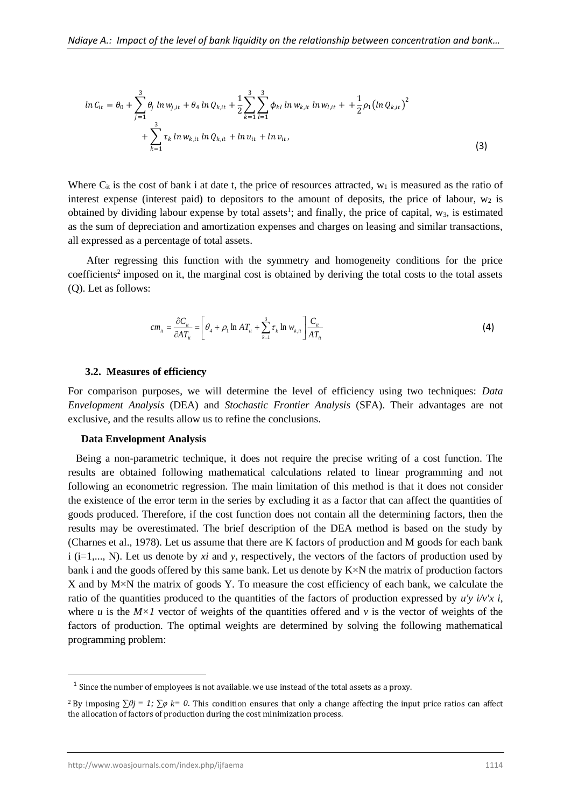$$
ln C_{it} = \theta_0 + \sum_{j=1}^3 \theta_j ln w_{j,it} + \theta_4 ln Q_{k,it} + \frac{1}{2} \sum_{k=1}^3 \sum_{l=1}^3 \phi_{kl} ln w_{k,it} ln w_{l,it} + \frac{1}{2} \rho_1 (ln Q_{k,it})^2 + \sum_{k=1}^3 \tau_k ln w_{k,it} ln Q_{k,it} + ln u_{it} + ln v_{it},
$$
\n(3)

Where  $C_{it}$  is the cost of bank i at date t, the price of resources attracted,  $w_1$  is measured as the ratio of interest expense (interest paid) to depositors to the amount of deposits, the price of labour,  $w_2$  is obtained by dividing labour expense by total assets<sup>1</sup>; and finally, the price of capital,  $w_3$ , is estimated as the sum of depreciation and amortization expenses and charges on leasing and similar transactions, all expressed as a percentage of total assets.

 After regressing this function with the symmetry and homogeneity conditions for the price coefficients<sup>2</sup> imposed on it, the marginal cost is obtained by deriving the total costs to the total assets (Q). Let as follows:

$$
cm_{ii} = \frac{\partial C_{ii}}{\partial AT_{ii}} = \left[\theta_4 + \rho_1 \ln AT_{ii} + \sum_{k=1}^3 \tau_k \ln w_{k,ii}\right] \frac{C_{ii}}{AT_{ii}} \tag{4}
$$

#### **3.2. Measures of efficiency**

For comparison purposes, we will determine the level of efficiency using two techniques: *Data Envelopment Analysis* (DEA) and *Stochastic Frontier Analysis* (SFA). Their advantages are not exclusive, and the results allow us to refine the conclusions.

#### **Data Envelopment Analysis**

 Being a non-parametric technique, it does not require the precise writing of a cost function. The results are obtained following mathematical calculations related to linear programming and not following an econometric regression. The main limitation of this method is that it does not consider the existence of the error term in the series by excluding it as a factor that can affect the quantities of goods produced. Therefore, if the cost function does not contain all the determining factors, then the results may be overestimated. The brief description of the DEA method is based on the study by (Charnes et al., 1978). Let us assume that there are K factors of production and M goods for each bank i (i=1,..., N). Let us denote by *xi* and *y*, respectively, the vectors of the factors of production used by bank i and the goods offered by this same bank. Let us denote by  $K \times N$  the matrix of production factors X and by M×N the matrix of goods Y. To measure the cost efficiency of each bank, we calculate the ratio of the quantities produced to the quantities of the factors of production expressed by  $u'y'v'x'$ , where *u* is the  $M \times I$  vector of weights of the quantities offered and *v* is the vector of weights of the factors of production. The optimal weights are determined by solving the following mathematical programming problem:

 $<sup>1</sup>$  Since the number of employees is not available. we use instead of the total assets as a proxy.</sup>

<sup>&</sup>lt;sup>2</sup> By imposing  $\sum \theta_j = 1$ ;  $\sum \varphi_k = 0$ . This condition ensures that only a change affecting the input price ratios can affect the allocation of factors of production during the cost minimization process.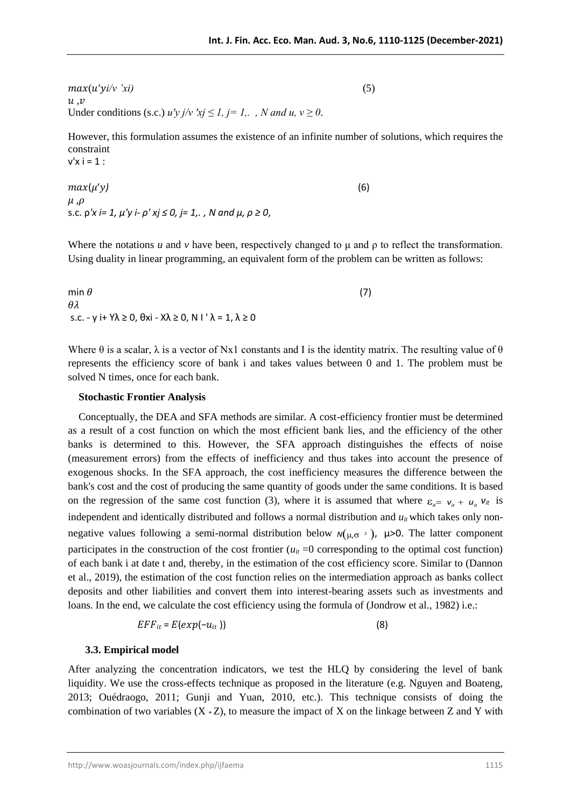$max(u'vi/v'xi)$  (5)  $u, v$ Under conditions (s.c.)  $u'y j/v' x j \leq 1, j=1, .$ , N and  $u, v \geq 0$ .

However, this formulation assumes the existence of an infinite number of solutions, which requires the constraint  $v'x i = 1$  :

$$
\max(\mu'y) \mu, \rho \text{s.c. } \rho' x = 1, \mu'y - \rho' xj \le 0, j = 1, . , N \text{ and } \mu, \rho \ge 0,
$$
\n(f)

Where the notations  $u$  and  $v$  have been, respectively changed to  $\mu$  and  $\rho$  to reflect the transformation. Using duality in linear programming, an equivalent form of the problem can be written as follows:

min  $\theta$  (7)  $A^2$ s.c. - y i+ Y $\lambda \ge 0$ ,  $\theta$ xi - X $\lambda \ge 0$ , N I ' $\lambda = 1$ ,  $\lambda \ge 0$ 

Where  $\theta$  is a scalar,  $\lambda$  is a vector of Nx1 constants and I is the identity matrix. The resulting value of  $\theta$ represents the efficiency score of bank i and takes values between 0 and 1. The problem must be solved N times, once for each bank.

#### **Stochastic Frontier Analysis**

 Conceptually, the DEA and SFA methods are similar. A cost-efficiency frontier must be determined as a result of a cost function on which the most efficient bank lies, and the efficiency of the other banks is determined to this. However, the SFA approach distinguishes the effects of noise (measurement errors) from the effects of inefficiency and thus takes into account the presence of exogenous shocks. In the SFA approach, the cost inefficiency measures the difference between the bank's cost and the cost of producing the same quantity of goods under the same conditions. It is based on the regression of the same cost function (3), where it is assumed that where  $\varepsilon_{i} = v_i + u_i v_i$  is independent and identically distributed and follows a normal distribution and  $u<sub>it</sub>$  which takes only nonnegative values following a semi-normal distribution below  $N(\mu, \sigma^2)$ ,  $\mu > 0$ . The latter component participates in the construction of the cost frontier  $(u<sub>it</sub> = 0$  corresponding to the optimal cost function) of each bank i at date t and, thereby, in the estimation of the cost efficiency score. Similar to (Dannon et al., 2019), the estimation of the cost function relies on the intermediation approach as banks collect deposits and other liabilities and convert them into interest-bearing assets such as investments and loans. In the end, we calculate the cost efficiency using the formula of (Jondrow et al., 1982) i.e.:

$$
EFF_{it} = E(exp(-u_{it}))
$$
 (8)

#### **3.3. Empirical model**

After analyzing the concentration indicators, we test the HLQ by considering the level of bank liquidity. We use the cross-effects technique as proposed in the literature (e.g. Nguyen and Boateng, 2013; Ouédraogo, 2011; Gunji and Yuan, 2010, etc.). This technique consists of doing the combination of two variables  $(X * Z)$ , to measure the impact of X on the linkage between Z and Y with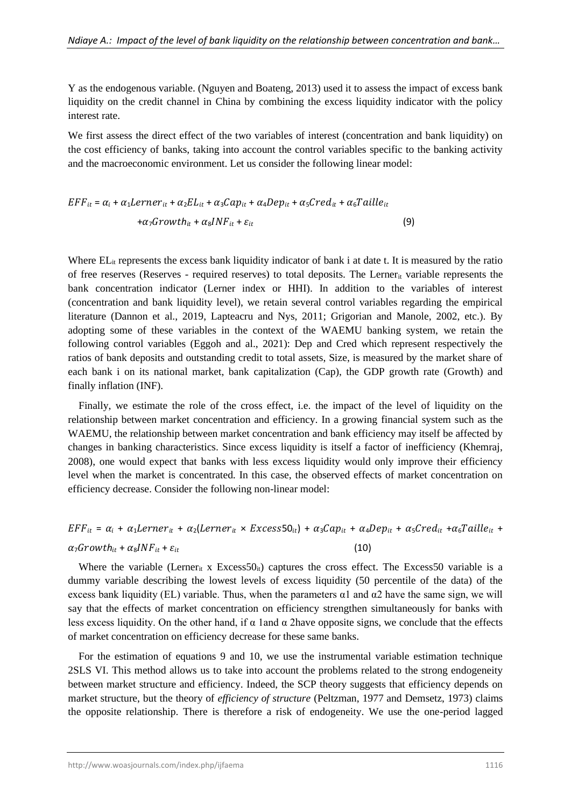Y as the endogenous variable. (Nguyen and Boateng, 2013) used it to assess the impact of excess bank liquidity on the credit channel in China by combining the excess liquidity indicator with the policy interest rate.

We first assess the direct effect of the two variables of interest (concentration and bank liquidity) on the cost efficiency of banks, taking into account the control variables specific to the banking activity and the macroeconomic environment. Let us consider the following linear model:

$$
EFF_{it} = \alpha_i + \alpha_1 Lerner_{it} + \alpha_2 EL_{it} + \alpha_3 Cap_{it} + \alpha_4 Dep_{it} + \alpha_5 Cred_{it} + \alpha_6 Taille_{it}
$$

$$
+ \alpha_7 Growth_{it} + \alpha_8 INF_{it} + \varepsilon_{it}
$$
(9)

Where  $EL_{it}$  represents the excess bank liquidity indicator of bank i at date t. It is measured by the ratio of free reserves (Reserves - required reserves) to total deposits. The Lerner<sub>it</sub> variable represents the bank concentration indicator (Lerner index or HHI). In addition to the variables of interest (concentration and bank liquidity level), we retain several control variables regarding the empirical literature (Dannon et al., 2019, Lapteacru and Nys, 2011; Grigorian and Manole, 2002, etc.). By adopting some of these variables in the context of the WAEMU banking system, we retain the following control variables (Eggoh and al., 2021): Dep and Cred which represent respectively the ratios of bank deposits and outstanding credit to total assets, Size, is measured by the market share of each bank i on its national market, bank capitalization (Cap), the GDP growth rate (Growth) and finally inflation (INF).

 Finally, we estimate the role of the cross effect, i.e. the impact of the level of liquidity on the relationship between market concentration and efficiency. In a growing financial system such as the WAEMU, the relationship between market concentration and bank efficiency may itself be affected by changes in banking characteristics. Since excess liquidity is itself a factor of inefficiency (Khemraj, 2008), one would expect that banks with less excess liquidity would only improve their efficiency level when the market is concentrated. In this case, the observed effects of market concentration on efficiency decrease. Consider the following non-linear model:

# $EFF_{it} = \alpha_i + \alpha_1 Lerner_{it} + \alpha_2 (Lerner_{it} \times Excess50_{it}) + \alpha_3 Cap_{it} + \alpha_4 Dep_{it} + \alpha_5 Cred_{it} + \alpha_6 Taille_{it} +$  $\alpha_7 G rowth_{it} + \alpha_8 INF_{it} + \varepsilon_{it}$  (10)

Where the variable (Lerner<sub>it</sub> x Excess50<sub>it</sub>) captures the cross effect. The Excess50 variable is a dummy variable describing the lowest levels of excess liquidity (50 percentile of the data) of the excess bank liquidity (EL) variable. Thus, when the parameters  $\alpha$ 1 and  $\alpha$ 2 have the same sign, we will say that the effects of market concentration on efficiency strengthen simultaneously for banks with less excess liquidity. On the other hand, if  $\alpha$  1and  $\alpha$  2have opposite signs, we conclude that the effects of market concentration on efficiency decrease for these same banks.

 For the estimation of equations 9 and 10, we use the instrumental variable estimation technique 2SLS VI. This method allows us to take into account the problems related to the strong endogeneity between market structure and efficiency. Indeed, the SCP theory suggests that efficiency depends on market structure, but the theory of *efficiency of structure* (Peltzman, 1977 and Demsetz, 1973) claims the opposite relationship. There is therefore a risk of endogeneity. We use the one-period lagged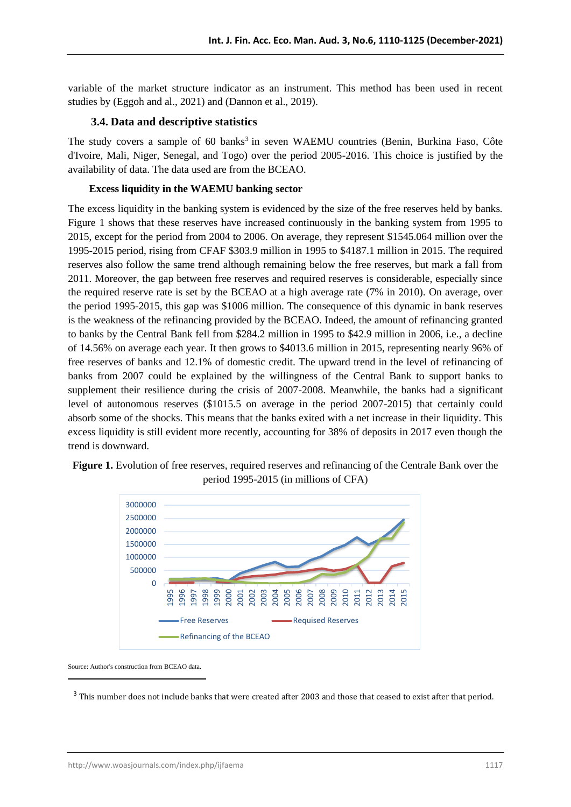variable of the market structure indicator as an instrument. This method has been used in recent studies by (Eggoh and al., 2021) and (Dannon et al., 2019).

# **3.4. Data and descriptive statistics**

The study covers a sample of 60 banks<sup>3</sup> in seven WAEMU countries (Benin, Burkina Faso, Côte d'Ivoire, Mali, Niger, Senegal, and Togo) over the period 2005-2016. This choice is justified by the availability of data. The data used are from the BCEAO.

# **Excess liquidity in the WAEMU banking sector**

The excess liquidity in the banking system is evidenced by the size of the free reserves held by banks. Figure 1 shows that these reserves have increased continuously in the banking system from 1995 to 2015, except for the period from 2004 to 2006. On average, they represent \$1545.064 million over the 1995-2015 period, rising from CFAF \$303.9 million in 1995 to \$4187.1 million in 2015. The required reserves also follow the same trend although remaining below the free reserves, but mark a fall from 2011. Moreover, the gap between free reserves and required reserves is considerable, especially since the required reserve rate is set by the BCEAO at a high average rate (7% in 2010). On average, over the period 1995-2015, this gap was \$1006 million. The consequence of this dynamic in bank reserves is the weakness of the refinancing provided by the BCEAO. Indeed, the amount of refinancing granted to banks by the Central Bank fell from \$284.2 million in 1995 to \$42.9 million in 2006, i.e., a decline of 14.56% on average each year. It then grows to \$4013.6 million in 2015, representing nearly 96% of free reserves of banks and 12.1% of domestic credit. The upward trend in the level of refinancing of banks from 2007 could be explained by the willingness of the Central Bank to support banks to supplement their resilience during the crisis of 2007-2008. Meanwhile, the banks had a significant level of autonomous reserves (\$1015.5 on average in the period 2007-2015) that certainly could absorb some of the shocks. This means that the banks exited with a net increase in their liquidity. This excess liquidity is still evident more recently, accounting for 38% of deposits in 2017 even though the trend is downward.



**Figure 1.** Evolution of free reserves, required reserves and refinancing of the Centrale Bank over the period 1995-2015 (in millions of CFA)

Source: Author's construction from BCEAO data.

<sup>&</sup>lt;sup>3</sup> This number does not include banks that were created after 2003 and those that ceased to exist after that period.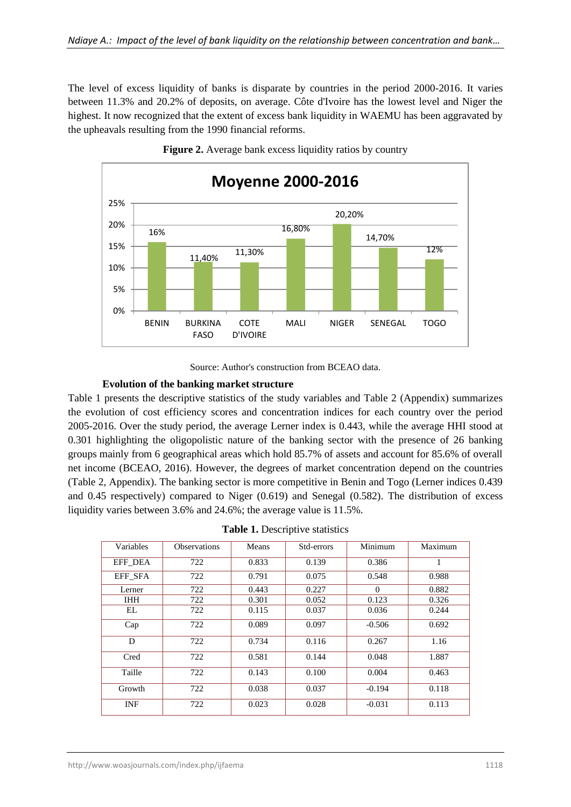The level of excess liquidity of banks is disparate by countries in the period 2000-2016. It varies between 11.3% and 20.2% of deposits, on average. Côte d'Ivoire has the lowest level and Niger the highest. It now recognized that the extent of excess bank liquidity in WAEMU has been aggravated by the upheavals resulting from the 1990 financial reforms.





Source: Author's construction from BCEAO data.

#### **Evolution of the banking market structure**

Table 1 presents the descriptive statistics of the study variables and Table 2 (Appendix) summarizes the evolution of cost efficiency scores and concentration indices for each country over the period 2005-2016. Over the study period, the average Lerner index is 0.443, while the average HHI stood at 0.301 highlighting the oligopolistic nature of the banking sector with the presence of 26 banking groups mainly from 6 geographical areas which hold 85.7% of assets and account for 85.6% of overall net income (BCEAO, 2016). However, the degrees of market concentration depend on the countries (Table 2, Appendix). The banking sector is more competitive in Benin and Togo (Lerner indices 0.439 and 0.45 respectively) compared to Niger (0.619) and Senegal (0.582). The distribution of excess liquidity varies between 3.6% and 24.6%; the average value is 11.5%.

| Table 1. Descriptive statistics |  |
|---------------------------------|--|
|---------------------------------|--|

| Variables  | <b>Observations</b> | Means | Std-errors | Minimum  | Maximum |
|------------|---------------------|-------|------------|----------|---------|
| EFF DEA    | 722                 | 0.833 | 0.139      | 0.386    | 1       |
| EFF SFA    | 722                 | 0.791 | 0.075      | 0.548    | 0.988   |
| Lerner     | 722                 | 0.443 | 0.227      | $\Omega$ | 0.882   |
| <b>IHH</b> | 722                 | 0.301 | 0.052      | 0.123    | 0.326   |
| EL         | 722                 | 0.115 | 0.037      | 0.036    | 0.244   |
| Cap        | 722                 | 0.089 | 0.097      | $-0.506$ | 0.692   |
| D          | 722                 | 0.734 | 0.116      | 0.267    | 1.16    |
| Cred       | 722                 | 0.581 | 0.144      | 0.048    | 1.887   |
| Taille     | 722                 | 0.143 | 0.100      | 0.004    | 0.463   |
| Growth     | 722                 | 0.038 | 0.037      | $-0.194$ | 0.118   |
| <b>INF</b> | 722                 | 0.023 | 0.028      | $-0.031$ | 0.113   |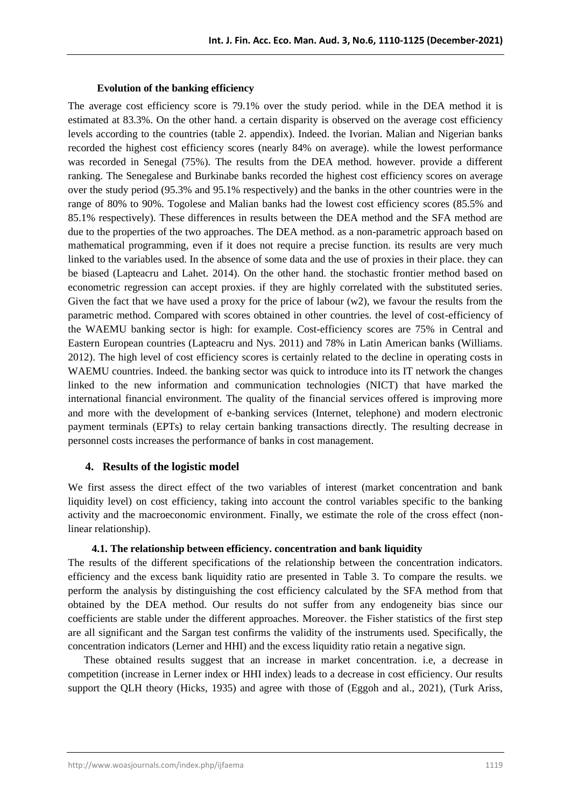#### **Evolution of the banking efficiency**

The average cost efficiency score is 79.1% over the study period. while in the DEA method it is estimated at 83.3%. On the other hand. a certain disparity is observed on the average cost efficiency levels according to the countries (table 2. appendix). Indeed. the Ivorian. Malian and Nigerian banks recorded the highest cost efficiency scores (nearly 84% on average). while the lowest performance was recorded in Senegal (75%). The results from the DEA method. however. provide a different ranking. The Senegalese and Burkinabe banks recorded the highest cost efficiency scores on average over the study period (95.3% and 95.1% respectively) and the banks in the other countries were in the range of 80% to 90%. Togolese and Malian banks had the lowest cost efficiency scores (85.5% and 85.1% respectively). These differences in results between the DEA method and the SFA method are due to the properties of the two approaches. The DEA method. as a non-parametric approach based on mathematical programming, even if it does not require a precise function. its results are very much linked to the variables used. In the absence of some data and the use of proxies in their place. they can be biased (Lapteacru and Lahet. 2014). On the other hand. the stochastic frontier method based on econometric regression can accept proxies. if they are highly correlated with the substituted series. Given the fact that we have used a proxy for the price of labour  $(w2)$ , we favour the results from the parametric method. Compared with scores obtained in other countries. the level of cost-efficiency of the WAEMU banking sector is high: for example. Cost-efficiency scores are 75% in Central and Eastern European countries (Lapteacru and Nys. 2011) and 78% in Latin American banks (Williams. 2012). The high level of cost efficiency scores is certainly related to the decline in operating costs in WAEMU countries. Indeed. the banking sector was quick to introduce into its IT network the changes linked to the new information and communication technologies (NICT) that have marked the international financial environment. The quality of the financial services offered is improving more and more with the development of e-banking services (Internet, telephone) and modern electronic payment terminals (EPTs) to relay certain banking transactions directly. The resulting decrease in personnel costs increases the performance of banks in cost management.

# **4. Results of the logistic model**

We first assess the direct effect of the two variables of interest (market concentration and bank liquidity level) on cost efficiency, taking into account the control variables specific to the banking activity and the macroeconomic environment. Finally, we estimate the role of the cross effect (nonlinear relationship).

#### **4.1. The relationship between efficiency. concentration and bank liquidity**

The results of the different specifications of the relationship between the concentration indicators. efficiency and the excess bank liquidity ratio are presented in Table 3. To compare the results. we perform the analysis by distinguishing the cost efficiency calculated by the SFA method from that obtained by the DEA method. Our results do not suffer from any endogeneity bias since our coefficients are stable under the different approaches. Moreover. the Fisher statistics of the first step are all significant and the Sargan test confirms the validity of the instruments used. Specifically, the concentration indicators (Lerner and HHI) and the excess liquidity ratio retain a negative sign.

 These obtained results suggest that an increase in market concentration. i.e, a decrease in competition (increase in Lerner index or HHI index) leads to a decrease in cost efficiency. Our results support the QLH theory (Hicks, 1935) and agree with those of (Eggoh and al., 2021), (Turk Ariss,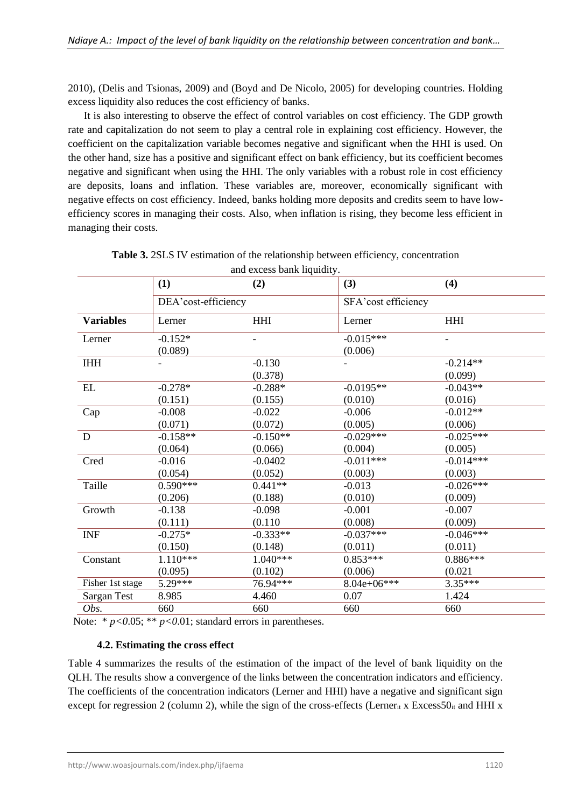2010), (Delis and Tsionas, 2009) and (Boyd and De Nicolo, 2005) for developing countries. Holding excess liquidity also reduces the cost efficiency of banks.

 It is also interesting to observe the effect of control variables on cost efficiency. The GDP growth rate and capitalization do not seem to play a central role in explaining cost efficiency. However, the coefficient on the capitalization variable becomes negative and significant when the HHI is used. On the other hand, size has a positive and significant effect on bank efficiency, but its coefficient becomes negative and significant when using the HHI. The only variables with a robust role in cost efficiency are deposits, loans and inflation. These variables are, moreover, economically significant with negative effects on cost efficiency. Indeed, banks holding more deposits and credits seem to have lowefficiency scores in managing their costs. Also, when inflation is rising, they become less efficient in managing their costs.

|                    | (1)                  | (2)                      | (3)                    | (4)                   |
|--------------------|----------------------|--------------------------|------------------------|-----------------------|
|                    | DEA'cost-efficiency  |                          | SFA'cost efficiency    |                       |
| <b>Variables</b>   | Lerner               | <b>HHI</b>               | Lerner                 | <b>HHI</b>            |
| Lerner             | $-0.152*$<br>(0.089) | $\overline{\phantom{0}}$ | $-0.015***$<br>(0.006) | $\qquad \qquad -$     |
| <b>IHH</b>         |                      | $-0.130$<br>(0.378)      |                        | $-0.214**$<br>(0.099) |
| $\mathbf{EL}$      | $-0.278*$            | $-0.288*$                | $-0.0195**$            | $-0.043**$            |
|                    | (0.151)              | (0.155)                  | (0.010)                | (0.016)               |
| Cap                | $-0.008$             | $-0.022$                 | $-0.006$               | $-0.012**$            |
|                    | (0.071)              | (0.072)                  | (0.005)                | (0.006)               |
| ${\bf D}$          | $-0.158**$           | $-0.150**$               | $-0.029***$            | $-0.025***$           |
|                    | (0.064)              | (0.066)                  | (0.004)                | (0.005)               |
| Cred               | $-0.016$             | $-0.0402$                | $-0.011***$            | $-0.014***$           |
|                    | (0.054)              | (0.052)                  | (0.003)                | (0.003)               |
| Taille             | $0.590***$           | $0.441**$                | $-0.013$               | $-0.026***$           |
|                    | (0.206)              | (0.188)                  | (0.010)                | (0.009)               |
| Growth             | $-0.138$             | $-0.098$                 | $-0.001$               | $-0.007$              |
|                    | (0.111)              | (0.110)                  | (0.008)                | (0.009)               |
| <b>INF</b>         | $-0.275*$            | $-0.333**$               | $-0.037***$            | $-0.046***$           |
|                    | (0.150)              | (0.148)                  | (0.011)                | (0.011)               |
| Constant           | $1.110***$           | $1.040***$               | $0.853***$             | $0.886***$            |
|                    | (0.095)              | (0.102)                  | (0.006)                | (0.021)               |
| Fisher 1st stage   | 5.29***              | 76.94***                 | $8.04e+06***$          | $3.35***$             |
| <b>Sargan Test</b> | 8.985                | 4.460                    | 0.07                   | 1.424                 |
| Obs.               | 660                  | 660                      | 660                    | 660                   |

| <b>Table 3.</b> 2SLS IV estimation of the relationship between efficiency, concentration |  |
|------------------------------------------------------------------------------------------|--|
| and excess bank liquidity.                                                               |  |

Note:  $* p < 0.05$ ;  $** p < 0.01$ ; standard errors in parentheses.

# **4.2. Estimating the cross effect**

Table 4 summarizes the results of the estimation of the impact of the level of bank liquidity on the QLH. The results show a convergence of the links between the concentration indicators and efficiency. The coefficients of the concentration indicators (Lerner and HHI) have a negative and significant sign except for regression 2 (column 2), while the sign of the cross-effects (Lerner<sub>it</sub> x Excess50<sub>it</sub> and HHI x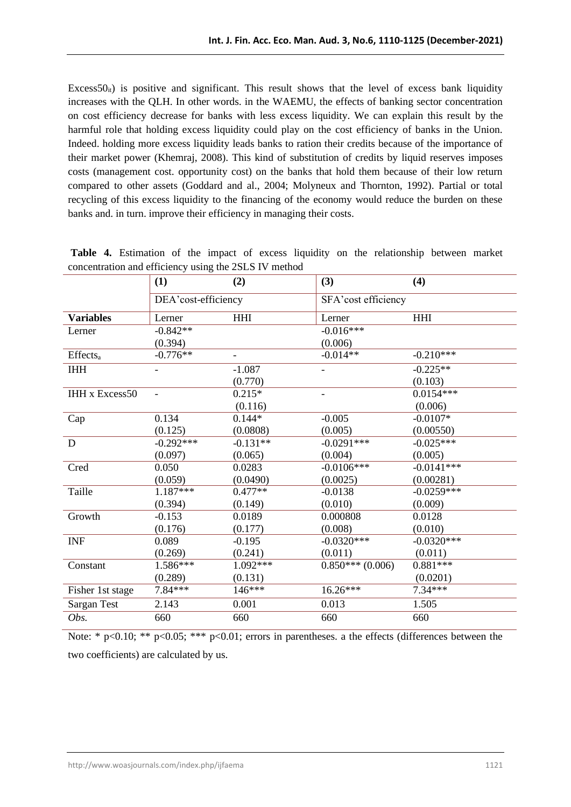Excess $50<sub>it</sub>$ ) is positive and significant. This result shows that the level of excess bank liquidity increases with the QLH. In other words. in the WAEMU, the effects of banking sector concentration on cost efficiency decrease for banks with less excess liquidity. We can explain this result by the harmful role that holding excess liquidity could play on the cost efficiency of banks in the Union. Indeed. holding more excess liquidity leads banks to ration their credits because of the importance of their market power (Khemraj, 2008). This kind of substitution of credits by liquid reserves imposes costs (management cost. opportunity cost) on the banks that hold them because of their low return compared to other assets (Goddard and al., 2004; Molyneux and Thornton, 1992). Partial or total recycling of this excess liquidity to the financing of the economy would reduce the burden on these banks and. in turn. improve their efficiency in managing their costs.

|                             | (2)<br>(1)<br>DEA'cost-efficiency |            | (3)                 | (4)          |  |
|-----------------------------|-----------------------------------|------------|---------------------|--------------|--|
|                             |                                   |            | SFA'cost efficiency |              |  |
| <b>Variables</b>            | Lerner                            | <b>HHI</b> | Lerner              | <b>HHI</b>   |  |
| Lerner                      | $-0.842**$                        |            | $-0.016***$         |              |  |
|                             | (0.394)                           |            | (0.006)             |              |  |
| <b>Effects</b> <sub>a</sub> | $-0.776**$                        |            | $-0.014**$          | $-0.210***$  |  |
| <b>IHH</b>                  |                                   | $-1.087$   |                     | $-0.225**$   |  |
|                             |                                   | (0.770)    |                     | (0.103)      |  |
| <b>IHH x Excess50</b>       |                                   | $0.215*$   |                     | $0.0154***$  |  |
|                             |                                   | (0.116)    |                     | (0.006)      |  |
| Cap                         | 0.134                             | $0.144*$   | $-0.005$            | $-0.0107*$   |  |
|                             | (0.125)                           | (0.0808)   | (0.005)             | (0.00550)    |  |
| $\mathbf D$                 | $-0.292***$                       | $-0.131**$ | $-0.0291***$        | $-0.025***$  |  |
|                             | (0.097)                           | (0.065)    | (0.004)             | (0.005)      |  |
| Cred                        | 0.050                             | 0.0283     | $-0.0106***$        | $-0.0141***$ |  |
|                             | (0.059)                           | (0.0490)   | (0.0025)            | (0.00281)    |  |
| Taille                      | 1.187***                          | $0.477**$  | $-0.0138$           | $-0.0259***$ |  |
|                             | (0.394)                           | (0.149)    | (0.010)             | (0.009)      |  |
| Growth                      | $-0.153$                          | 0.0189     | 0.000808            | 0.0128       |  |
|                             | (0.176)                           | (0.177)    | (0.008)             | (0.010)      |  |
| <b>INF</b>                  | 0.089                             | $-0.195$   | $-0.0320***$        | $-0.0320***$ |  |
|                             | (0.269)                           | (0.241)    | (0.011)             | (0.011)      |  |
| Constant                    | 1.586***                          | $1.092***$ | $0.850***(0.006)$   | $0.881***$   |  |
|                             | (0.289)                           | (0.131)    |                     | (0.0201)     |  |
| Fisher 1st stage            | 7.84***                           | 146***     | 16.26***            | $7.34***$    |  |
| Sargan Test                 | 2.143                             | 0.001      | 0.013               | 1.505        |  |
| Obs.                        | 660                               | 660        | 660                 | 660          |  |

**Table 4.** Estimation of the impact of excess liquidity on the relationship between market concentration and efficiency using the 2SLS IV method

Note: \*  $p<0.10$ ; \*\*  $p<0.05$ ; \*\*\*  $p<0.01$ ; errors in parentheses. a the effects (differences between the two coefficients) are calculated by us.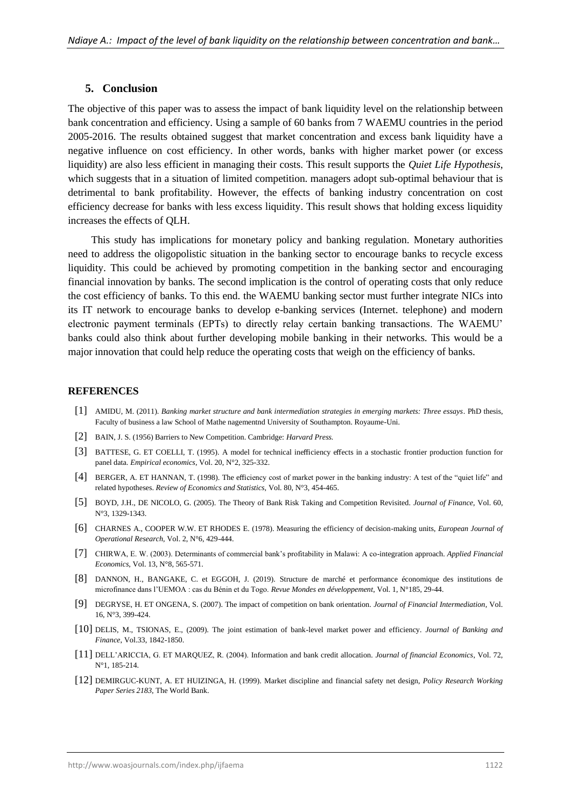#### **5. Conclusion**

The objective of this paper was to assess the impact of bank liquidity level on the relationship between bank concentration and efficiency. Using a sample of 60 banks from 7 WAEMU countries in the period 2005-2016. The results obtained suggest that market concentration and excess bank liquidity have a negative influence on cost efficiency. In other words, banks with higher market power (or excess liquidity) are also less efficient in managing their costs. This result supports the *Quiet Life Hypothesis*, which suggests that in a situation of limited competition. managers adopt sub-optimal behaviour that is detrimental to bank profitability. However, the effects of banking industry concentration on cost efficiency decrease for banks with less excess liquidity. This result shows that holding excess liquidity increases the effects of QLH.

 This study has implications for monetary policy and banking regulation. Monetary authorities need to address the oligopolistic situation in the banking sector to encourage banks to recycle excess liquidity. This could be achieved by promoting competition in the banking sector and encouraging financial innovation by banks. The second implication is the control of operating costs that only reduce the cost efficiency of banks. To this end. the WAEMU banking sector must further integrate NICs into its IT network to encourage banks to develop e-banking services (Internet. telephone) and modern electronic payment terminals (EPTs) to directly relay certain banking transactions. The WAEMU' banks could also think about further developing mobile banking in their networks. This would be a major innovation that could help reduce the operating costs that weigh on the efficiency of banks.

#### **REFERENCES**

- [1] AMIDU, M. (2011). *Banking market structure and bank intermediation strategies in emerging markets: Three essays*. PhD thesis, Faculty of business a law School of Mathe nagementnd University of Southampton. Royaume-Uni.
- [2] BAIN, J. S. (1956) Barriers to New Competition. Cambridge: *Harvard Press.*
- [3] BATTESE, G. ET COELLI, T. (1995). A model for technical inefficiency effects in a stochastic frontier production function for panel data*. Empirical economics*, Vol. 20, N°2, 325-332.
- [4] BERGER, A. ET HANNAN, T. (1998). The efficiency cost of market power in the banking industry: A test of the "quiet life" and related hypotheses. *Review of Economics and Statistics,* Vol. 80, N°3, 454-465.
- [5] BOYD, J.H., DE NICOLO, G. (2005). The Theory of Bank Risk Taking and Competition Revisited. *Journal of Finance,* Vol. 60, N°3, 1329-1343.
- [6] CHARNES A., COOPER W.W. ET RHODES E. (1978). Measuring the efficiency of decision-making units, *European Journal of Operational Research*, Vol. 2, N°6, 429-444.
- [7] CHIRWA, E. W. (2003). Determinants of commercial bank's profitability in Malawi: A co-integration approach. *Applied Financial Economics*, Vol. 13, N°8, 565-571.
- [8] DANNON, H., BANGAKE, C. et EGGOH, J. (2019). Structure de marché et performance économique des institutions de microfinance dans l'UEMOA : cas du Bénin et du Togo. *Revue Mondes en développement*, Vol. 1, N°185, 29-44.
- [9] DEGRYSE, H. ET ONGENA, S. (2007). The impact of competition on bank orientation. *Journal of Financial Intermediation*, Vol. 16, N°3, 399-424.
- [10] DELIS, M., TSIONAS, E., (2009). The joint estimation of bank-level market power and efficiency. *Journal of Banking and Finance*, Vol.33, 1842-1850.
- [11] DELL'ARICCIA, G. ET MARQUEZ, R. (2004). Information and bank credit allocation. *Journal of financial Economics*, Vol. 72, N°1, 185-214.
- [12] DEMIRGUC-KUNT, A. ET HUIZINGA, H. (1999). Market discipline and financial safety net design, *Policy Research Working Paper Series 2183*, The World Bank.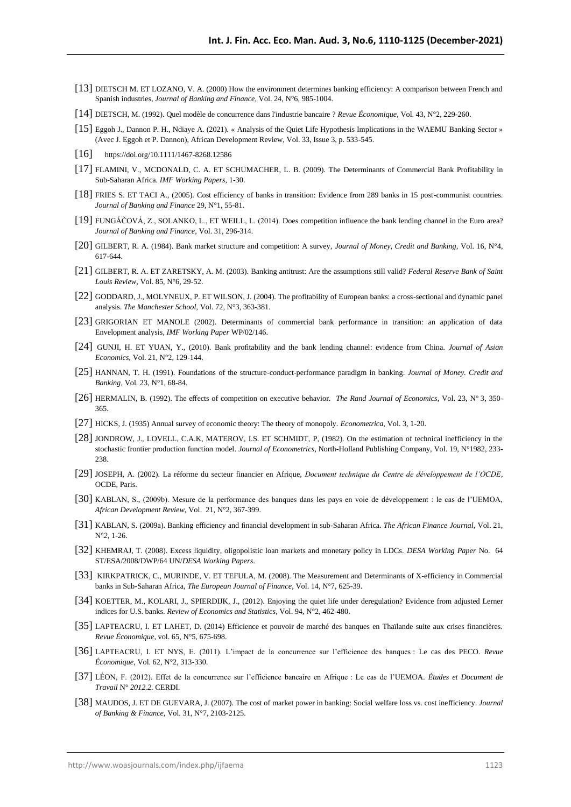- [13] DIETSCH M. ET LOZANO, V. A. (2000) How the environment determines banking efficiency: A comparison between French and Spanish industries, *Journal of Banking and Finance*, Vol. 24, N°6, 985-1004.
- [14] DIETSCH, M. (1992). Quel modèle de concurrence dans l'industrie bancaire ? *Revue Économique*, Vol. 43, N°2, 229-260.
- [15] Eggoh J., Dannon P. H., Ndiaye A. (2021). « Analysis of the Quiet Life Hypothesis Implications in the WAEMU Banking Sector » (Avec J. Eggoh et P. Dannon), African Development Review, Vol. 33, Issue 3, p. 533-545.
- [16] https://doi.org/10.1111/1467-8268.12586
- [17] FLAMINI, V., MCDONALD, C. A. ET SCHUMACHER, L. B. (2009). The Determinants of Commercial Bank Profitability in Sub-Saharan Africa. *IMF Working Papers,* 1-30.
- [18] FRIES S. ET TACI A., (2005). Cost efficiency of banks in transition: Evidence from 289 banks in 15 post-communist countries. *Journal of Banking and Finance* 29, N°1, 55-81.
- [19] FUNGÁČOVÁ, Z., SOLANKO, L., ET WEILL, L. (2014). Does competition influence the bank lending channel in the Euro area? *Journal of Banking and Finance*, Vol. 31, 296-314.
- [20] GILBERT, R. A. (1984). Bank market structure and competition: A survey, *Journal of Money, Credit and Banking,* Vol. 16, N°4, 617-644.
- [21] GILBERT, R. A. ET ZARETSKY, A. M. (2003). Banking antitrust: Are the assumptions still valid? *Federal Reserve Bank of Saint Louis Review*, Vol. 85, N°6, 29-52.
- [22] GODDARD, J., MOLYNEUX, P. ET WILSON, J. (2004). The profitability of European banks: a cross-sectional and dynamic panel analysis. *The Manchester School,* Vol. 72, N°3, 363-381.
- [23] GRIGORIAN ET MANOLE (2002). Determinants of commercial bank performance in transition: an application of data Envelopment analysis*, IMF Working Paper* WP/02/146.
- [24] GUNJI, H. ET YUAN, Y., (2010). Bank profitability and the bank lending channel: evidence from China. *Journal of Asian Economics,* Vol. 21, N°2, 129-144.
- [25] HANNAN, T. H. (1991). Foundations of the structure-conduct-performance paradigm in banking. *Journal of Money. Credit and Banking*, Vol. 23, N°1, 68-84.
- [26] HERMALIN, B. (1992). The effects of competition on executive behavior. *The Rand Journal of Economics,* Vol. 23, N° 3, 350- 365.
- [27] HICKS, J. (1935) Annual survey of economic theory: The theory of monopoly. *Econometrica*, Vol. 3, 1-20.
- [28] JONDROW, J., LOVELL, C.A.K, MATEROV, I.S. ET SCHMIDT, P, (1982). On the estimation of technical inefficiency in the stochastic frontier production function model. *Journal of Econometrics*, North-Holland Publishing Company, Vol. 19, N°1982, 233- 238.
- [29] JOSEPH, A. (2002). La réforme du secteur financier en Afrique, *Document technique du Centre de développement de l'OCDE*, OCDE, Paris.
- [30] KABLAN, S., (2009b). Mesure de la performance des banques dans les pays en voie de développement : le cas de l'UEMOA, *African Development Review*, Vol. 21, N°2, 367-399.
- [31] KABLAN, S. (2009a). Banking efficiency and financial development in sub-Saharan Africa. *The African Finance Journal,* Vol. 21, N°*2,* 1-26.
- [32] KHEMRAJ, T. (2008). Excess liquidity, oligopolistic loan markets and monetary policy in LDCs. *DESA Working Paper* No. 64 ST/ESA/2008/DWP/64 UN/*DESA Working Papers*.
- [33] KIRKPATRICK, C., MURINDE, V. ET TEFULA, M. (2008). The Measurement and Determinants of X-efficiency in Commercial banks in Sub-Saharan Africa, *The European Journal of Finance*, Vol. 14, N°7, 625-39.
- [34] KOETTER, M., KOLARI, J., SPIERDIJK, J., (2012). Enjoying the quiet life under deregulation? Evidence from adjusted Lerner indices for U.S. banks. *Review of Economics and Statistics*, Vol. 94, N°2, 462-480.
- [35] LAPTEACRU, I. ET LAHET, D. (2014) Efficience et pouvoir de marché des banques en Thaïlande suite aux crises financières. *Revue Économique*, vol. 65, N°5, 675-698.
- [36] LAPTEACRU, I. ET NYS, E. (2011). L'impact de la concurrence sur l'efficience des banques : Le cas des PECO. *Revue Économique*, Vol. 62, N°2, 313-330.
- [37] LÉON, F. (2012). Effet de la concurrence sur l'efficience bancaire en Afrique : Le cas de l'UEMOA. *Études et Document de Travail* N° *2012.2*. CERDI.
- [38] MAUDOS, J. ET DE GUEVARA, J. (2007). The cost of market power in banking: Social welfare loss vs. cost inefficiency. *Journal of Banking & Finance,* Vol. 31, N°7, 2103-2125.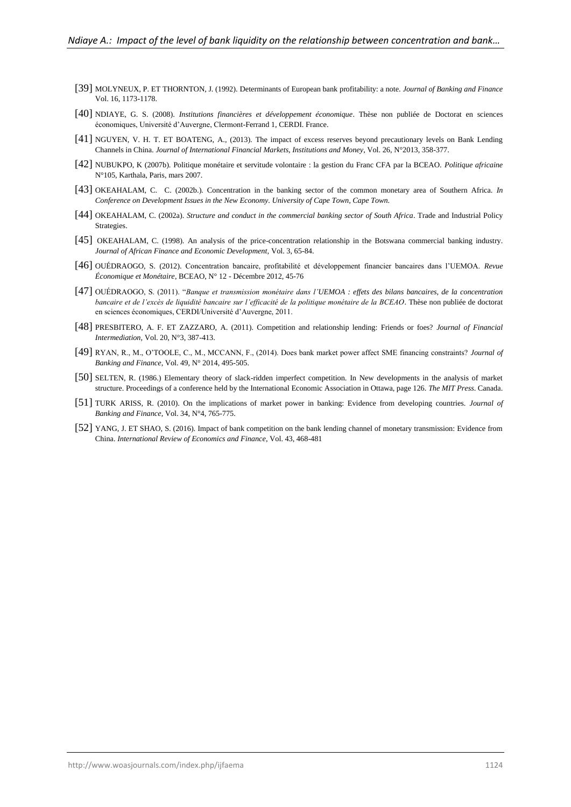- [39] MOLYNEUX, P. ET THORNTON, J. (1992). Determinants of European bank profitability: a note. *Journal of Banking and Finance* Vol. 16, 1173-1178.
- [40] NDIAYE, G. S. (2008). *Institutions financières et développement économique*. Thèse non publiée de Doctorat en sciences économiques, Université d'Auvergne, Clermont-Ferrand 1, CERDI. France.
- [41] NGUYEN, V. H. T. ET BOATENG, A., (2013). The impact of excess reserves beyond precautionary levels on Bank Lending Channels in China. *Journal of International Financial Markets, Institutions and Money*, Vol. 26, N°2013, 358-377.
- [42] NUBUKPO, K (2007b). Politique monétaire et servitude volontaire : la gestion du Franc CFA par la BCEAO. *Politique africaine* N°105, Karthala, Paris, mars 2007.
- [43] OKEAHALAM, C. C. (2002b.). Concentration in the banking sector of the common monetary area of Southern Africa. *In Conference on Development Issues in the New Economy. University of Cape Town, Cape Town.*
- [44] OKEAHALAM, C. (2002a). *Structure and conduct in the commercial banking sector of South Africa*. Trade and Industrial Policy Strategies.
- [45] OKEAHALAM, C. (1998). An analysis of the price-concentration relationship in the Botswana commercial banking industry. *Journal of African Finance and Economic Development,* Vol. 3, 65-84.
- [46] OUÉDRAOGO, S. (2012). Concentration bancaire, profitabilité et développement financier bancaires dans l'UEMOA. *Revue Économique et Monétaire*, BCEAO, N° 12 - Décembre 2012, 45-76
- [47] OUÉDRAOGO, S. (2011). "*Banque et transmission monétaire dans l'UEMOA : effets des bilans bancaires, de la concentration bancaire et de l'excès de liquidité bancaire sur l'efficacité de la politique monétaire de la BCEAO*. Thèse non publiée de doctorat en sciences économiques, CERDI/Université d'Auvergne, 2011.
- [48] PRESBITERO, A. F. ET ZAZZARO, A. (2011). Competition and relationship lending: Friends or foes? *Journal of Financial Intermediation,* Vol. 20, N°3, 387-413.
- [49] RYAN, R., M., O'TOOLE, C., M., MCCANN, F., (2014). Does bank market power affect SME financing constraints? *Journal of Banking and Finance*, Vol. 49, N° 2014, 495-505.
- [50] SELTEN, R. (1986.) Elementary theory of slack-ridden imperfect competition. In New developments in the analysis of market structure. Proceedings of a conference held by the International Economic Association in Ottawa, page 126. *The MIT Press*. Canada.
- [51] TURK ARISS, R. (2010). On the implications of market power in banking: Evidence from developing countries. *Journal of Banking and Finance*, Vol. 34, N°4, 765-775.
- [52] YANG, J. ET SHAO, S. (2016). Impact of bank competition on the bank lending channel of monetary transmission: Evidence from China. *International Review of Economics and Finance*, Vol. 43, 468-481